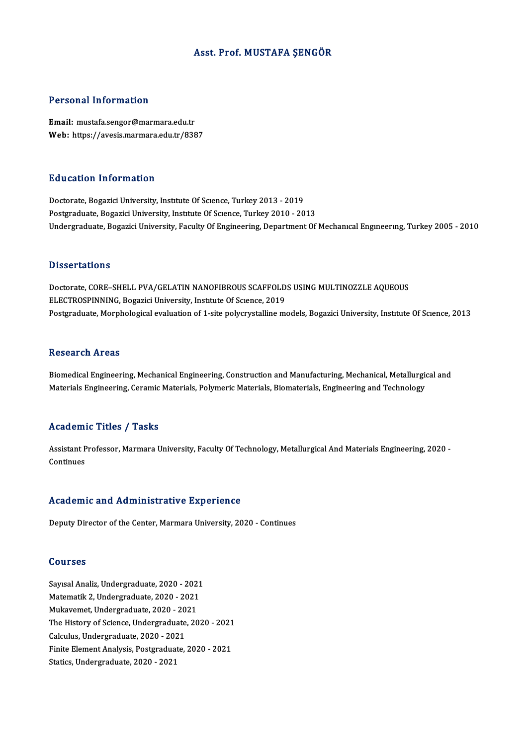### Asst. Prof.MUSTAFA ŞENGÖR

### Personal Information

Email: mustafa.sengor@marmara.edu.tr Web: https://avesis.marmara.edu.tr/8387

### Education Information

Doctorate, Bogazici University, Institute Of Science, Turkey 2013 - 2019 Postgraduate, Bogazici University, Institute Of Science, Turkey 2010 - 2013 Undergraduate, Bogazici University, Faculty Of Engineering, Department Of Mechanical Engineering, Turkey 2005 - 2010

### **Dissertations**

Dissertations<br>Doctorate, CORE–SHELL PVA/GELATIN NANOFIBROUS SCAFFOLDS USING MULTINOZZLE AQUEOUS<br>ELECTROSPINNINC, Bogarisi University, Institute Of Scapee, 2019 Basser cattons<br>Doctorate, CORE–SHELL PVA/GELATIN NANOFIBROUS SCAFFOLD<br>ELECTROSPINNING, Bogazici University, Institute Of Science, 2019<br>Postsyaduate, Marnhalagical evaluation of 1 site polygywtolline m ELECTROSPINNING, Bogazici University, Institute Of Science, 2019<br>Postgraduate, Morphological evaluation of 1-site polycrystalline models, Bogazici University, Institute Of Science, 2013

### **Research Areas**

Biomedical Engineering, Mechanical Engineering, Construction and Manufacturing, Mechanical, Metallurgical and Materials Engineering, Ceramic Materials, Polymeric Materials, Biomaterials, Engineering and Technology

### Academic Titles / Tasks

**Academic Titles / Tasks**<br>Assistant Professor, Marmara University, Faculty Of Technology, Metallurgical And Materials Engineering, 2020 -<br>Continues Assistant P<br>Continues Academic and Administrative Experience

Deputy Director of the Center, Marmara University, 2020 - Continues

### Courses

Sayısal Analiz, Undergraduate, 2020 - 2021<br>Sayısal Analiz, Undergraduate, 2020 - 2021<br>Matematik 2. Undergraduate, 2020 - 2021 Sourbos<br>Sayısal Analiz, Undergraduate, 2020 - 2021<br>Matematik 2, Undergraduate, 2020 - 2021<br>Mukayomat, Undergraduate, 2020 - 2021 Matematik 2, Undergraduate, 2020 - 2021<br>Mukavemet, Undergraduate, 2020 - 2021 The History of Science, Undergraduate, 2020 - 2021 Calculus, Undergraduate, 2020 - 2021 Finite Element Analysis, Postgraduate, 2020 - 2021 Statics, Undergraduate, 2020 - 2021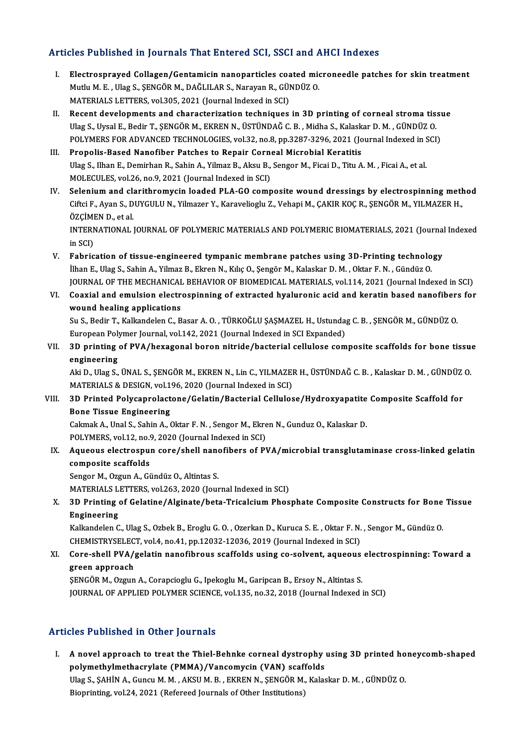### Articles Published in Journals That Entered SCI, SSCI and AHCI Indexes

- rticles Published in Journals That Entered SCI, SSCI and AHCI Indexes<br>I. Electrosprayed Collagen/Gentamicin nanoparticles coated microneedle patches for skin treatment<br>Muth M.E. Ulge S. SENCOR M. DAČLU AR S. Narayan B. CÜN MUTLUM.<br>Electrosprayed Collagen/Gentamicin nanoparticles coated mid<br>Mutlu M. E., Ulag S., ŞENGÖR M., DAĞLILAR S., Narayan R., GÜNDÜZ O.<br>MATERIALS LETTERS. vol 205, 2021 (Journal Indoved in SCI) Mutlu M. E. , Ulag S., ŞENGÖR M., DAĞLILAR S., Narayan R., GÜNDÜZ O.<br>MATERIALS LETTERS, vol.305, 2021 (Journal Indexed in SCI) Mutlu M. E. , Ulag S., ŞENGÖR M., DAĞLILAR S., Narayan R., GÜNDÜZ O.<br>MATERIALS LETTERS, vol.305, 2021 (Journal Indexed in SCI)<br>II. Recent developments and characterization techniques in 3D printing of corneal stroma tissue
- MATERIALS LETTERS, vol.305, 2021 (Journal Indexed in SCI)<br>Recent developments and characterization techniques in 3D printing of corneal stroma tis:<br>Ulag S., Uysal E., Bedir T., ŞENGÖR M., EKREN N., ÜSTÜNDAĞ C.B. , Midha S. Recent developments and characterization techniques in 3D printing of corneal stroma tissue Ulag S., Uysal E., Bedir T., ŞENGÖR M., EKREN N., ÜSTÜNDAĞ C. B. , Midha S., Kalaskar D. M. , GÜNDÜZ O.<br>POLYMERS FOR ADVANCED TECH Ulag S., Uysal E., Bedir T., ŞENGÖR M., EKREN N., ÜSTÜNDAĞ C. B., Midha S., Kalask<br>POLYMERS FOR ADVANCED TECHNOLOGIES, vol.32, no.8, pp.3287-3296, 2021 (Jo<br>III. Propolis-Based Nanofiber Patches to Repair Corneal Microbial
- POLYMERS FOR ADVANCED TECHNOLOGIES, vol.32, no.8, pp.3287-3296, 2021 (Journal Indexed in S<br>Propolis-Based Nanofiber Patches to Repair Corneal Microbial Keratitis<br>Ulag S., Ilhan E., Demirhan R., Sahin A., Yilmaz B., Aksu B. III. Propolis-Based Nanofiber Patches to Repair Corneal Microbial Keratitis<br>Ulag S., Ilhan E., Demirhan R., Sahin A., Yilmaz B., Aksu B., Sengor M., Ficai D., Titu A. M. , Ficai A., et al.<br>MOLECULES, vol.26, no.9, 2021 (Jo
- IV. Selenium and clarithromycin loaded PLA-GO composite wound dressings by electrospinning method MOLECULES, vol.26, no.9, 2021 (Journal Indexed in SCI)<br>Selenium and clarithromycin loaded PLA-GO composite wound dressings by electrospinning meth<br>Ciftci F., Ayan S., DUYGULU N., Yilmazer Y., Karavelioglu Z., Vehapi M., ÇA **Selenium and cla<br>Ciftci F., Ayan S., D<br>ÖZÇİMEN D., et al.**<br>INTERNATIONAL Ciftci F., Ayan S., DUYGULU N., Yilmazer Y., Karavelioglu Z., Vehapi M., ÇAKIR KOÇ R., ŞENGÖR M., YILMAZER H.,<br>ÖZÇİMEN D., et al.<br>INTERNATIONAL JOURNAL OF POLYMERIC MATERIALS AND POLYMERIC BIOMATERIALS, 2021 (Journal Index

ÖZÇİMI<br>INTERN<br>in SCI)<br>Fabric INTERNATIONAL JOURNAL OF POLYMERIC MATERIALS AND POLYMERIC BIOMATERIALS, 2021 (Journal<br>in SCI)<br>V. Fabrication of tissue-engineered tympanic membrane patches using 3D-Printing technology<br><sup>ilhan E.</sup> <sup>Ulag S.</sup> Sabin A. Vilma

- in SCI)<br>Fabrication of tissue-engineered tympanic membrane patches using 3D-Printing technolo<br>İlhan E., Ulag S., Sahin A., Yilmaz B., Ekren N., Kılıç O., Şengör M., Kalaskar D. M. , Oktar F. N. , Gündüz O<br>JOUPNAL OF THE ME İlhan E., Ulag S., Sahin A., Yilmaz B., Ekren N., Kılıç O., Şengör M., Kalaskar D. M. , Oktar F. N. , Gündüz O<br>JOURNAL OF THE MECHANICAL BEHAVIOR OF BIOMEDICAL MATERIALS, vol.114, 2021 (Journal Indexed in SCI) ilhan E., Ulag S., Sahin A., Yilmaz B., Ekren N., Kılıç O., Şengör M., Kalaskar D. M. , Oktar F. N. , Gündüz O.<br>JOURNAL OF THE MECHANICAL BEHAVIOR OF BIOMEDICAL MATERIALS, vol.114, 2021 (Journal Indexed in SCI)<br>VI. Coaxial
- **JOURNAL OF THE MECHANICAL<br>Coaxial and emulsion electron<br>wound healing applications** Coaxial and emulsion electrospinning of extracted hyaluronic acid and keratin based nanofiber:<br>wound healing applications<br>Su S., Bedir T., Kalkandelen C., Basar A. O. , TÜRKOĞLU ŞAŞMAZEL H., Ustundag C. B. , ŞENGÖR M., GÜN wound healing applications<br>Su S., Bedir T., Kalkandelen C., Basar A. O. , TÜRKOĞLU ŞAŞMAZEL H., Ustundag C. B. , ŞENGÖR M., GÜNDÜZ O.

European Polymer Journal, vol.142, 2021 (Journal Indexed in SCI Expanded)

VII. 3D printing of PVA/hexagonal boron nitride/bacterial cellulose composite scaffolds for bone tissue<br>engineering 3D printing of PVA/hexagonal boron nitride/bacterial cellulose composite scaffolds for bone tissue<br>engineering<br>Aki D., Ulag S., ÜNAL S., ŞENGÖR M., EKREN N., Lin C., YILMAZER H., ÜSTÜNDAĞ C. B. , Kalaskar D. M. , GÜNDÜZ O<br>

e<mark>ngineering</mark><br>Aki D., Ulag S., ÜNAL S., ŞENGÖR M., EKREN N., Lin C., YILMAZEI<br>MATERIALS & DESIGN, vol.196, 2020 (Journal Indexed in SCI)<br>2D. Printed Belvsennelestene (Celatin (Besterial Cellules Aki D., Ulag S., ÜNAL S., ŞENGÖR M., EKREN N., Lin C., YILMAZER H., ÜSTÜNDAĞ C. B. , Kalaskar D. M. , GÜNDÜZ<br>MATERIALS & DESIGN, vol.196, 2020 (Journal Indexed in SCI)<br>VIII. 3D Printed Polycaprolactone/Gelatin/Bacterial Ce

## MATERIALS & DESIGN, vol.196, 2020 (Journal Indexed in SCI)<br>3D Printed Polycaprolactone/Gelatin/Bacterial Cellulos<br>Bone Tissue Engineering 3D Printed Polycaprolactone/Gelatin/Bacterial Cellulose/Hydroxyapatite Composite Scaffold for<br>Bone Tissue Engineering<br>Cakmak A., Unal S., Sahin A., Oktar F. N. , Sengor M., Ekren N., Gunduz O., Kalaskar D.<br>POLYMERS, vol.12

Cakmak A., Unal S., Sahin A., Oktar F. N., Sengor M., Ekren N., Gunduz O., Kalaskar D.

Cakmak A., Unal S., Sahin A., Oktar F. N. , Sengor M., Ekren N., Gunduz O., Kalaskar D.<br>POLYMERS, vol.12, no.9, 2020 (Journal Indexed in SCI)<br>IX. Aqueous electrospun core/shell nanofibers of PVA/microbial transglutaminase POLYMERS, vol.12, no.9<br>Aqueous electrospu:<br>composite scaffolds<br>Sangar M. Ozgun A. Gi Aqueous electrospun core/shell nano<br>composite scaffolds<br>Sengor M., Ozgun A., Gündüz O., Altintas S.<br>MATEPIALS LETTEPS vol 262-2020 (Jour

composite scaffolds<br>Sengor M., Ozgun A., Gündüz O., Altintas S.<br>MATERIALS LETTERS, vol.263, 2020 (Journal Indexed in SCI)

Sengor M., Ozgun A., Gündüz O., Altintas S.<br>MATERIALS LETTERS, vol.263, 2020 (Journal Indexed in SCI)<br>X. 3D Printing of Gelatine/Alginate/beta-Tricalcium Phosphate Composite Constructs for Bone Tissue<br>Engineering MATERIALS<br>**Engineering**<br>Engineering<br>Kelkandelen C 3D Printing of Gelatine/Alginate/beta-Tricalcium Phosphate Composite Constructs for Bone<br>Engineering<br>Kalkandelen C., Ulag S., Ozbek B., Eroglu G. O. , Ozerkan D., Kuruca S. E. , Oktar F. N. , Sengor M., Gündüz O<br>CHEMISTRYS

Engineering<br>Kalkandelen C., Ulag S., Ozbek B., Eroglu G. O. , Ozerkan D., Kuruca S. E. , Oktar F. N. , Sengor M., Gündüz O<br>CHEMISTRYSELECT, vol.4, no.41, pp.12032-12036, 2019 (Journal Indexed in SCI) Kalkandelen C., Ulag S., Ozbek B., Eroglu G. O. , Ozerkan D., Kuruca S. E. , Oktar F. N. , Sengor M., Gündüz O.<br>CHEMISTRYSELECT, vol.4, no.41, pp.12032-12036, 2019 (Journal Indexed in SCI)<br>XI. Core-shell PVA/gelatin nanofi

# CHEMISTRYSELEC<br>Core-shell PVA/<sub>{</sub><br>green approach<br>SENCOR M. Ozgun

green approach<br>ŞENGÖR M., Ozgun A., Corapcioglu G., Ipekoglu M., Garipcan B., Ersoy N., Altintas S. JOURNAL OF APPLIED POLYMER SCIENCE, vol.135, no.32, 2018 (Journal Indexed in SCI)

### Articles Published in Other Journals

rticles Published in Other Journals<br>I. A novel approach to treat the Thiel-Behnke corneal dystrophy using 3D printed honeycomb-shaped<br>Polymethylmethoeyylate (BMMA) (Vansomysin (VAN) seeffolds polymethylmethacrylate (PMMA)/Vancomycin (VAN) scaffolds<br>polymethylmethacrylate (PMMA)/Vancomycin (VAN) scaffolds<br>Illeg S. SAHIN A. Cungu M. M. ALSU M. R. EKREN N. SENCÔR M. Keles A novel approach to treat the Thiel-Behnke corneal dystrophy using 3D printed ho<br>polymethylmethacrylate (PMMA)/Vancomycin (VAN) scaffolds<br>Ulag S., ŞAHİN A., Guncu M. M. , AKSU M. B. , EKREN N., ŞENGÖR M., Kalaskar D. M. , polymethylmethacrylate (PMMA)/Vancomycin (VAN) scaffolds<br>Ulag S., ŞAHİN A., Guncu M. M. , AKSU M. B. , EKREN N., ŞENGÖR M., Kalaskar D. M. , GÜNDÜZ O.<br>Bioprinting, vol.24, 2021 (Refereed Journals of Other Institutions)